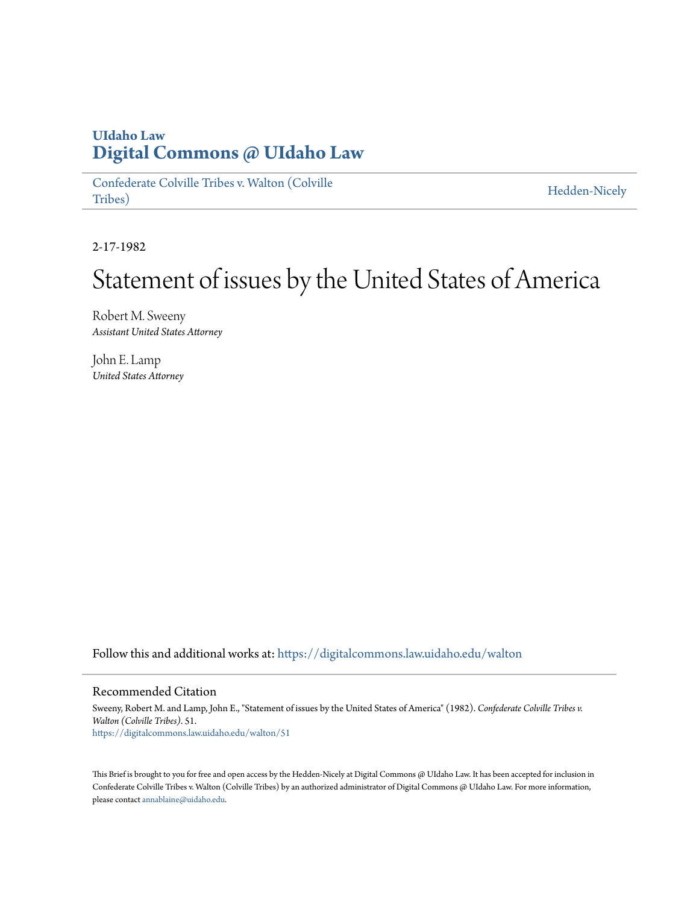## **UIdaho Law [Digital Commons @ UIdaho Law](https://digitalcommons.law.uidaho.edu?utm_source=digitalcommons.law.uidaho.edu%2Fwalton%2F51&utm_medium=PDF&utm_campaign=PDFCoverPages)**

[Confederate Colville Tribes v. Walton \(Colville](https://digitalcommons.law.uidaho.edu/walton?utm_source=digitalcommons.law.uidaho.edu%2Fwalton%2F51&utm_medium=PDF&utm_campaign=PDFCoverPages) [Tribes\)](https://digitalcommons.law.uidaho.edu/walton?utm_source=digitalcommons.law.uidaho.edu%2Fwalton%2F51&utm_medium=PDF&utm_campaign=PDFCoverPages)

[Hedden-Nicely](https://digitalcommons.law.uidaho.edu/hedden-nicely?utm_source=digitalcommons.law.uidaho.edu%2Fwalton%2F51&utm_medium=PDF&utm_campaign=PDFCoverPages)

2-17-1982

## Statement of issues by the United States of America

Robert M. Sweeny *Assistant United States Attorney*

John E. Lamp *United States Attorney*

Follow this and additional works at: [https://digitalcommons.law.uidaho.edu/walton](https://digitalcommons.law.uidaho.edu/walton?utm_source=digitalcommons.law.uidaho.edu%2Fwalton%2F51&utm_medium=PDF&utm_campaign=PDFCoverPages)

## Recommended Citation

Sweeny, Robert M. and Lamp, John E., "Statement of issues by the United States of America" (1982). *Confederate Colville Tribes v. Walton (Colville Tribes)*. 51. [https://digitalcommons.law.uidaho.edu/walton/51](https://digitalcommons.law.uidaho.edu/walton/51?utm_source=digitalcommons.law.uidaho.edu%2Fwalton%2F51&utm_medium=PDF&utm_campaign=PDFCoverPages)

This Brief is brought to you for free and open access by the Hedden-Nicely at Digital Commons @ UIdaho Law. It has been accepted for inclusion in Confederate Colville Tribes v. Walton (Colville Tribes) by an authorized administrator of Digital Commons @ UIdaho Law. For more information, please contact [annablaine@uidaho.edu](mailto:annablaine@uidaho.edu).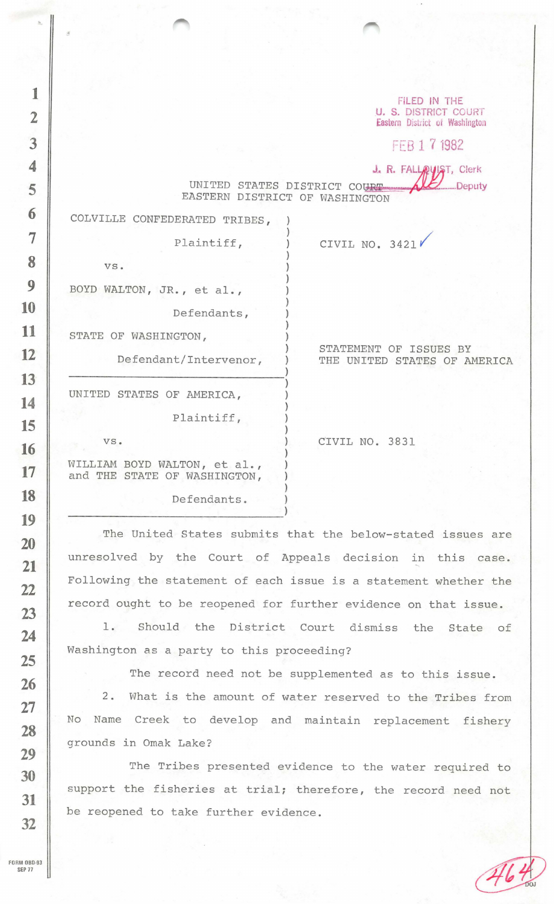FiLED IN THE U. S. DISTRICT COURT Eastern District of Washington

FFB 1 7 1982

J. R. FALLAUST, Clerk

UNITED STATES DISTRICT COURT EASTERN DISTRICT OF WASHINGTON

)

)

)

)

)

 $\lambda$ 

)

)

)

)

)

COLVILLE CONFEDERATED TRIBES,

Plaintiff, )

vs. )

.

BOYD WALTON, JR., et al., )

Defendants, )

STATE OF WASHINGTON,

Defendant/Intervenor, )

UNITED STATES OF AMERICA, )

vs. )

STATEMENT OF ISSUES BY THE UNITED STATES OF AMERICA

CIVIL NO. 3831

CIVIL NO. 3421 $\mathcal V$ 

WILLIAM BOYD WALTON, et al., and THE STATE OF WASHINGTON,

Defendants.

Plaintiff, )

The United States submits that the below-stated issues are unresolved by the Court of Appeals decision in this case. Following the statement of each issue is a statement whether the record ought to be reopened for further evidence on that issue.

1. Should the District Court dismiss the State of Washington as a party to this proceeding?

The record need not be supplemented as to this issue.

2. What is the amount of water reserved to the Tribes from No Name Creek to develop and maintain replacement fishery grounds in Omak Lake?

The Tribes presented evidence to the water required to support the fisheries at trial; therefore, the record need not be reopened to take further evidence.

SEP 77